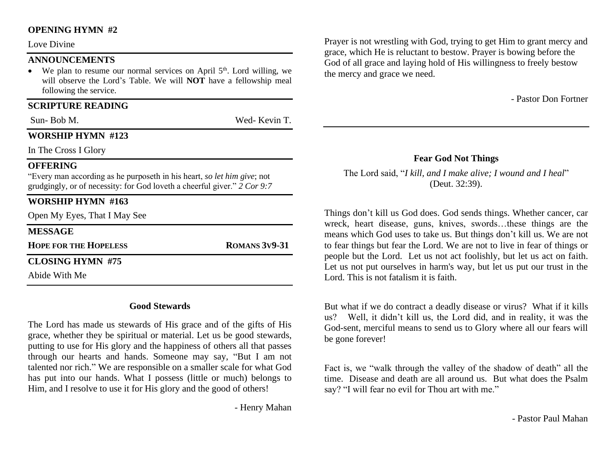#### **OPENING HYMN #2**

Love Divine

#### **ANNOUNCEMENTS**

• We plan to resume our normal services on April  $5<sup>th</sup>$ . Lord willing, we will observe the Lord's Table. We will **NOT** have a fellowship meal following the service.

#### **SCRIPTURE READING**

Sun- Bob M. Wed- Kevin T.

#### **WORSHIP HYMN #123**

In The Cross I Glory

#### **OFFERING**

"Every man according as he purposeth in his heart, *so let him give*; not grudgingly, or of necessity: for God loveth a cheerful giver." *2 Cor 9:7*

### **WORSHIP HYMN #163**

Open My Eyes, That I May See

#### **MESSAGE**

**HOPE FOR THE HOPELESS ROMANS 3V9-31**

#### **CLOSING HYMN #75**

Abide With Me

#### **Good Stewards**

The Lord has made us stewards of His grace and of the gifts of His grace, whether they be spiritual or material. Let us be good stewards, putting to use for His glory and the happiness of others all that passes through our hearts and hands. Someone may say, "But I am not talented nor rich." We are responsible on a smaller scale for what God has put into our hands. What I possess (little or much) belongs to Him, and I resolve to use it for His glory and the good of others!

- Henry Mahan

Prayer is not wrestling with God, trying to get Him to grant mercy and grace, which He is reluctant to bestow. Prayer is bowing before the God of all grace and laying hold of His willingness to freely bestow the mercy and grace we need.

- Pastor Don Fortner

#### **Fear God Not Things**

The Lord said, "*I kill, and I make alive; I wound and I heal*" (Deut. 32:39).

Things don't kill us God does. God sends things. Whether cancer, car wreck, heart disease, guns, knives, swords…these things are the means which God uses to take us. But things don't kill us. We are not to fear things but fear the Lord. We are not to live in fear of things or people but the Lord. Let us not act foolishly, but let us act on faith. Let us not put ourselves in harm's way, but let us put our trust in the Lord. This is not fatalism it is faith.

But what if we do contract a deadly disease or virus? What if it kills us? Well, it didn't kill us, the Lord did, and in reality, it was the God-sent, merciful means to send us to Glory where all our fears will be gone forever!

Fact is, we "walk through the valley of the shadow of death" all the time. Disease and death are all around us. But what does the Psalm say? "I will fear no evil for Thou art with me."

- Pastor Paul Mahan